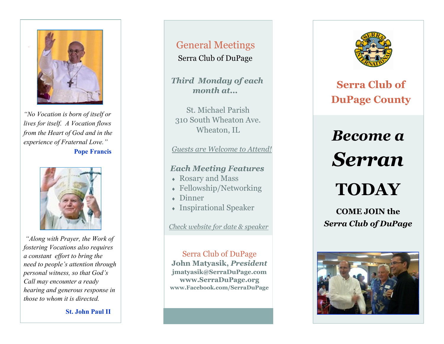

*"No Vocation is born of itself or lives for itself. A Vocation flows from the Heart of God and in the experience of Fraternal Love."* **Pope Francis**



*"Along with Prayer, the Work of fostering Vocations also requires a constant effort to bring the need to people's attention through personal witness, so that God's Call may encounter a ready hearing and generous response in those to whom it is directed.* 

**St. John Paul II** 

# General Meetings

Serra Club of DuPage

*Third Monday of each month at...* 

St. Michael Parish 310 South Wheaton Ave. Wheaton, IL

*Guests are Welcome to Attend!*

#### *Each Meeting Features*

- Rosary and Mass
- Fellowship/Networking
- Dinner
- Inspirational Speaker

*Check website for date & speaker*

Serra Club of DuPage **John Matyasik,** *President*  **jmatyasik@SerraDuPage.com www.SerraDuPage.org www.Facebook.com/SerraDuPage** 



**Serra Club of DuPage County** 

# *Become a Serran*

# **TODAY**

**COME JOIN the**  *Serra Club of DuPage*